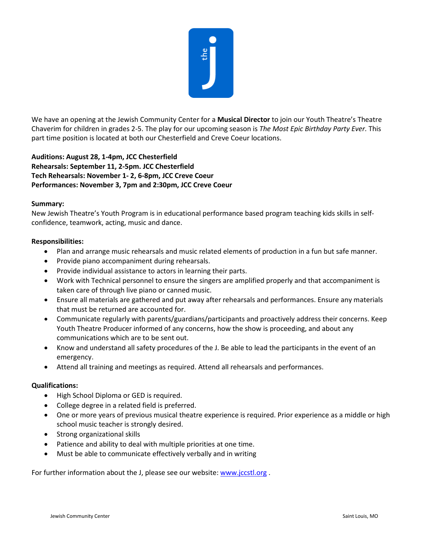

We have an opening at the Jewish Community Center for a **Musical Director** to join our Youth Theatre's Theatre Chaverim for children in grades 2-5. The play for our upcoming season is *The Most Epic Birthday Party Ever.* This part time position is located at both our Chesterfield and Creve Coeur locations.

## **Auditions: August 28, 1-4pm, JCC Chesterfield Rehearsals: September 11, 2-5pm. JCC Chesterfield Tech Rehearsals: November 1- 2, 6-8pm, JCC Creve Coeur Performances: November 3, 7pm and 2:30pm, JCC Creve Coeur**

## **Summary:**

New Jewish Theatre's Youth Program is in educational performance based program teaching kids skills in selfconfidence, teamwork, acting, music and dance.

## **Responsibilities:**

- Plan and arrange music rehearsals and music related elements of production in a fun but safe manner.
- Provide piano accompaniment during rehearsals.
- Provide individual assistance to actors in learning their parts.
- Work with Technical personnel to ensure the singers are amplified properly and that accompaniment is taken care of through live piano or canned music.
- Ensure all materials are gathered and put away after rehearsals and performances. Ensure any materials that must be returned are accounted for.
- Communicate regularly with parents/guardians/participants and proactively address their concerns. Keep Youth Theatre Producer informed of any concerns, how the show is proceeding, and about any communications which are to be sent out.
- Know and understand all safety procedures of the J. Be able to lead the participants in the event of an emergency.
- Attend all training and meetings as required. Attend all rehearsals and performances.

## **Qualifications:**

- High School Diploma or GED is required.
- College degree in a related field is preferred.
- One or more years of previous musical theatre experience is required. Prior experience as a middle or high school music teacher is strongly desired.
- Strong organizational skills
- Patience and ability to deal with multiple priorities at one time.
- Must be able to communicate effectively verbally and in writing

For further information about the J, please see our website[: www.jccstl.org](http://www.jccstl.org/).